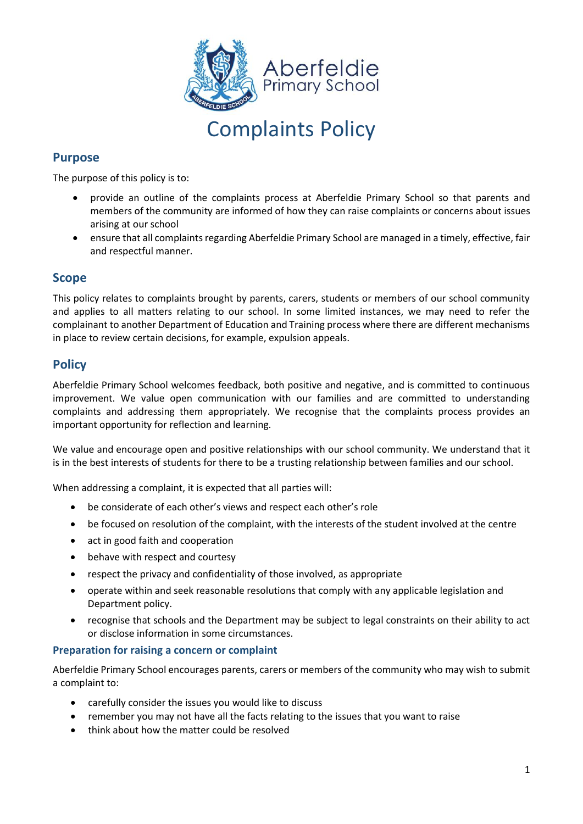

# Complaints Policy

# **Purpose**

The purpose of this policy is to:

- provide an outline of the complaints process at Aberfeldie Primary School so that parents and members of the community are informed of how they can raise complaints or concerns about issues arising at our school
- ensure that all complaints regarding Aberfeldie Primary School are managed in a timely, effective, fair and respectful manner.

## **Scope**

This policy relates to complaints brought by parents, carers, students or members of our school community and applies to all matters relating to our school. In some limited instances, we may need to refer the complainant to another Department of Education and Training process where there are different mechanisms in place to review certain decisions, for example, expulsion appeals.

## **Policy**

Aberfeldie Primary School welcomes feedback, both positive and negative, and is committed to continuous improvement. We value open communication with our families and are committed to understanding complaints and addressing them appropriately. We recognise that the complaints process provides an important opportunity for reflection and learning.

We value and encourage open and positive relationships with our school community. We understand that it is in the best interests of students for there to be a trusting relationship between families and our school.

When addressing a complaint, it is expected that all parties will:

- be considerate of each other's views and respect each other's role
- be focused on resolution of the complaint, with the interests of the student involved at the centre
- act in good faith and cooperation
- behave with respect and courtesy
- respect the privacy and confidentiality of those involved, as appropriate
- operate within and seek reasonable resolutions that comply with any applicable legislation and Department policy.
- recognise that schools and the Department may be subject to legal constraints on their ability to act or disclose information in some circumstances.

#### **Preparation for raising a concern or complaint**

Aberfeldie Primary School encourages parents, carers or members of the community who may wish to submit a complaint to:

- carefully consider the issues you would like to discuss
- remember you may not have all the facts relating to the issues that you want to raise
- think about how the matter could be resolved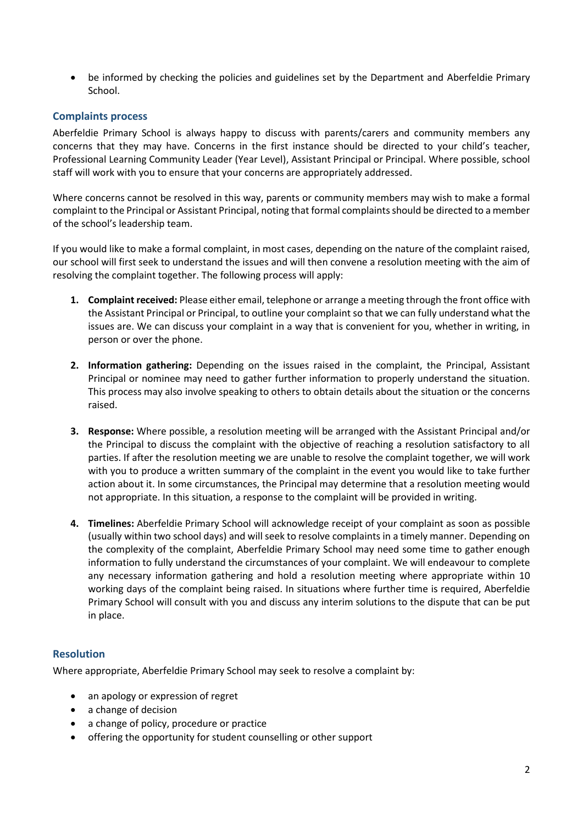• be informed by checking the policies and guidelines set by the Department and Aberfeldie Primary School.

#### **Complaints process**

Aberfeldie Primary School is always happy to discuss with parents/carers and community members any concerns that they may have. Concerns in the first instance should be directed to your child's teacher, Professional Learning Community Leader (Year Level), Assistant Principal or Principal. Where possible, school staff will work with you to ensure that your concerns are appropriately addressed.

Where concerns cannot be resolved in this way, parents or community members may wish to make a formal complaint to the Principal or Assistant Principal, noting that formal complaints should be directed to a member of the school's leadership team.

If you would like to make a formal complaint, in most cases, depending on the nature of the complaint raised, our school will first seek to understand the issues and will then convene a resolution meeting with the aim of resolving the complaint together. The following process will apply:

- **1. Complaint received:** Please either email, telephone or arrange a meeting through the front office with the Assistant Principal or Principal, to outline your complaint so that we can fully understand what the issues are. We can discuss your complaint in a way that is convenient for you, whether in writing, in person or over the phone.
- **2. Information gathering:** Depending on the issues raised in the complaint, the Principal, Assistant Principal or nominee may need to gather further information to properly understand the situation. This process may also involve speaking to others to obtain details about the situation or the concerns raised.
- **3. Response:** Where possible, a resolution meeting will be arranged with the Assistant Principal and/or the Principal to discuss the complaint with the objective of reaching a resolution satisfactory to all parties. If after the resolution meeting we are unable to resolve the complaint together, we will work with you to produce a written summary of the complaint in the event you would like to take further action about it. In some circumstances, the Principal may determine that a resolution meeting would not appropriate. In this situation, a response to the complaint will be provided in writing.
- **4. Timelines:** Aberfeldie Primary School will acknowledge receipt of your complaint as soon as possible (usually within two school days) and will seek to resolve complaints in a timely manner. Depending on the complexity of the complaint, Aberfeldie Primary School may need some time to gather enough information to fully understand the circumstances of your complaint. We will endeavour to complete any necessary information gathering and hold a resolution meeting where appropriate within 10 working days of the complaint being raised. In situations where further time is required, Aberfeldie Primary School will consult with you and discuss any interim solutions to the dispute that can be put in place.

#### **Resolution**

Where appropriate, Aberfeldie Primary School may seek to resolve a complaint by:

- an apology or expression of regret
- a change of decision
- a change of policy, procedure or practice
- offering the opportunity for student counselling or other support